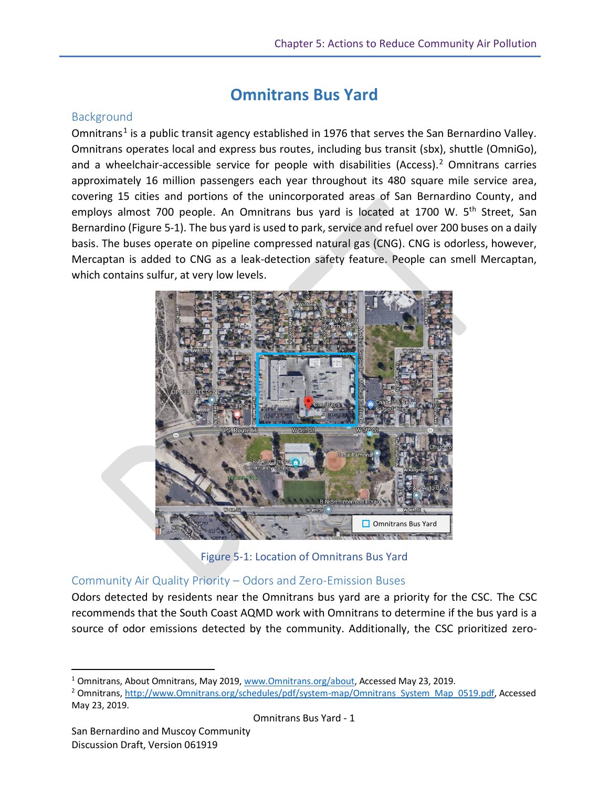# **Omnitrans Bus Yard**

## **Background**

Omnitrans<sup>1</sup> is a public transit agency established in 1976 that serves the San Bernardino Valley. Omnitrans operates local and express bus routes, including bus transit (sbx), shuttle (OmniGo), and a wheelchair-accessible service for people with disabilities (Access).<sup>2</sup> Omnitrans carries approximately 16 million passengers each year throughout its 480 square mile service area, covering 15 cities and portions of the unincorporated areas of San Bernardino County, and employs almost 700 people. An Omnitrans bus yard is located at 1700 W. 5<sup>th</sup> Street, San Bernardino (Figure 5-1). The bus yard is used to park, service and refuel over 200 buses on a daily basis. The buses operate on pipeline compressed natural gas (CNG). CNG is odorless, however, Mercaptan is added to CNG as a leak-detection safety feature. People can smell Mercaptan, which contains sulfur, at very low levels.



Figure 5-1: Location of Omnitrans Bus Yard

### Community Air Quality Priority – Odors and Zero-Emission Buses

Odors detected by residents near the Omnitrans bus yard are a priority for the CSC. The CSC recommends that the South Coast AQMD work with Omnitrans to determine if the bus yard is a source of odor emissions detected by the community. Additionally, the CSC prioritized zero-

Omnitrans Bus Yard - 1

 $\overline{\phantom{a}}$ 

<sup>1</sup> Omnitrans, About Omnitrans, May 2019, www.Omnitrans.org/about, Accessed May 23, 2019.

<sup>&</sup>lt;sup>2</sup> Omnitrans[, http://www.Omnitrans.org/schedules/pdf/system-map/Omnitrans\\_System\\_Map\\_0519.pdf,](http://www.omnitrans.org/schedules/pdf/system-map/Omnitrans_System_Map_0519.pdf) Accessed May 23, 2019.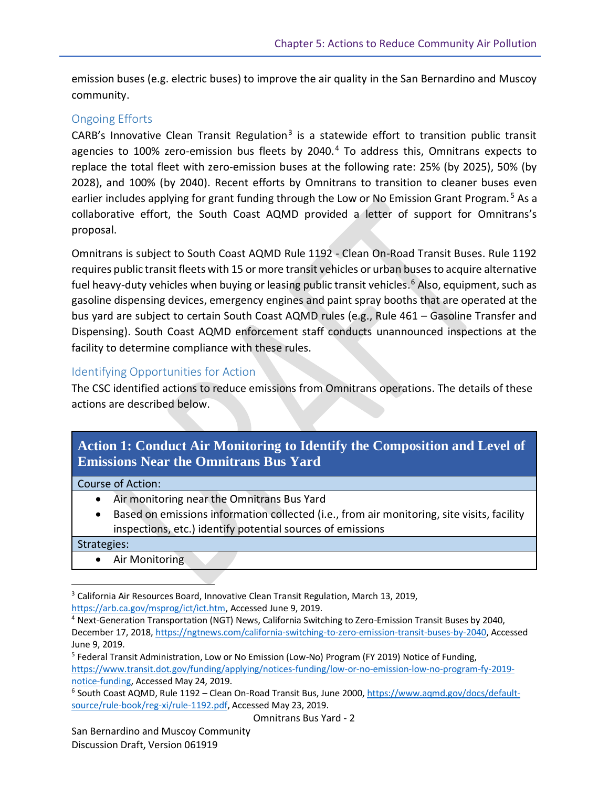emission buses (e.g. electric buses) to improve the air quality in the San Bernardino and Muscoy community.

#### Ongoing Efforts

CARB's Innovative Clean Transit Regulation<sup>3</sup> is a statewide effort to transition public transit agencies to 100% zero-emission bus fleets by 2040.<sup>4</sup> To address this, Omnitrans expects to replace the total fleet with zero-emission buses at the following rate: 25% (by 2025), 50% (by 2028), and 100% (by 2040). Recent efforts by Omnitrans to transition to cleaner buses even earlier includes applying for grant funding through the Low or No Emission Grant Program.<sup>5</sup> As a collaborative effort, the South Coast AQMD provided a letter of support for Omnitrans's proposal.

Omnitrans is subject to South Coast AQMD Rule 1192 - Clean On-Road Transit Buses. Rule 1192 requires public transit fleets with 15 or more transit vehicles or urban buses to acquire alternative fuel heavy-duty vehicles when buying or leasing public transit vehicles.<sup>6</sup> Also, equipment, such as gasoline dispensing devices, emergency engines and paint spray booths that are operated at the bus yard are subject to certain South Coast AQMD rules (e.g., Rule 461 – Gasoline Transfer and Dispensing). South Coast AQMD enforcement staff conducts unannounced inspections at the facility to determine compliance with these rules.

### Identifying Opportunities for Action

The CSC identified actions to reduce emissions from Omnitrans operations. The details of these actions are described below.

| Action 1: Conduct Air Monitoring to Identify the Composition and Level of |  |
|---------------------------------------------------------------------------|--|
| <b>Emissions Near the Omnitrans Bus Yard</b>                              |  |

#### Course of Action:

- Air monitoring near the Omnitrans Bus Yard
- Based on emissions information collected (i.e., from air monitoring, site visits, facility inspections, etc.) identify potential sources of emissions

Strategies:

 $\overline{\phantom{a}}$ 

• Air Monitoring

<sup>&</sup>lt;sup>3</sup> California Air Resources Board, Innovative Clean Transit Regulation, March 13, 2019,

[https://arb.ca.gov/msprog/ict/ict.htm,](https://arb.ca.gov/msprog/ict/ict.htm) Accessed June 9, 2019.

<sup>4</sup> Next-Generation Transportation (NGT) News, California Switching to Zero-Emission Transit Buses by 2040, December 17, 2018[, https://ngtnews.com/california-switching-to-zero-emission-transit-buses-by-2040,](https://ngtnews.com/california-switching-to-zero-emission-transit-buses-by-2040) Accessed June 9, 2019.

<sup>&</sup>lt;sup>5</sup> Federal Transit Administration, Low or No Emission (Low-No) Program (FY 2019) Notice of Funding, [https://www.transit.dot.gov/funding/applying/notices-funding/low-or-no-emission-low-no-program-fy-2019](https://www.transit.dot.gov/funding/applying/notices-funding/low-or-no-emission-low-no-program-fy-2019-notice-funding) [notice-funding,](https://www.transit.dot.gov/funding/applying/notices-funding/low-or-no-emission-low-no-program-fy-2019-notice-funding) Accessed May 24, 2019.

<sup>&</sup>lt;sup>6</sup> South Coast AQMD, Rule 1192 – Clean On-Road Transit Bus, June 2000, [https://www.aqmd.gov/docs/default](https://www.aqmd.gov/docs/default-source/rule-book/reg-xi/rule-1192.pdf)[source/rule-book/reg-xi/rule-1192.pdf,](https://www.aqmd.gov/docs/default-source/rule-book/reg-xi/rule-1192.pdf) Accessed May 23, 2019.

Omnitrans Bus Yard - 2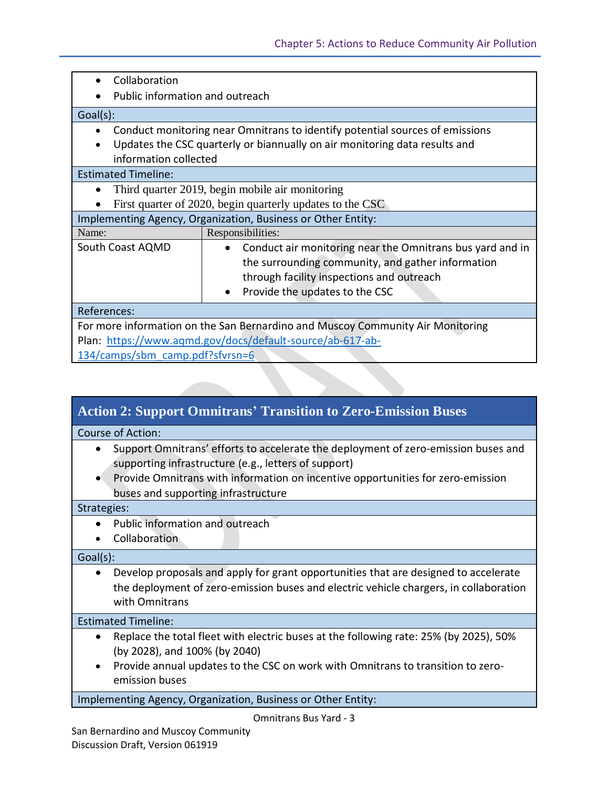| Collaboration                                                                             |                                                           |  |
|-------------------------------------------------------------------------------------------|-----------------------------------------------------------|--|
| Public information and outreach                                                           |                                                           |  |
| Goal(s):                                                                                  |                                                           |  |
| Conduct monitoring near Omnitrans to identify potential sources of emissions<br>$\bullet$ |                                                           |  |
| Updates the CSC quarterly or biannually on air monitoring data results and<br>$\bullet$   |                                                           |  |
| information collected                                                                     |                                                           |  |
| <b>Estimated Timeline:</b>                                                                |                                                           |  |
| $\bullet$                                                                                 | Third quarter 2019, begin mobile air monitoring           |  |
| First quarter of 2020, begin quarterly updates to the CSC                                 |                                                           |  |
| Implementing Agency, Organization, Business or Other Entity:                              |                                                           |  |
| Name:                                                                                     | Responsibilities:                                         |  |
| South Coast AQMD                                                                          | Conduct air monitoring near the Omnitrans bus yard and in |  |
|                                                                                           | the surrounding community, and gather information         |  |
|                                                                                           | through facility inspections and outreach                 |  |
|                                                                                           | Provide the updates to the CSC                            |  |
| References:                                                                               |                                                           |  |
| For more information on the San Bernardino and Muscoy Community Air Monitoring            |                                                           |  |
| Plan: https://www.aqmd.gov/docs/default-source/ab-617-ab-                                 |                                                           |  |
| 134/camps/sbm camp.pdf?sfvrsn=6                                                           |                                                           |  |

| <b>Action 2: Support Omnitrans' Transition to Zero-Emission Buses</b>                                                                                                                                       |  |  |
|-------------------------------------------------------------------------------------------------------------------------------------------------------------------------------------------------------------|--|--|
| <b>Course of Action:</b>                                                                                                                                                                                    |  |  |
| Support Omnitrans' efforts to accelerate the deployment of zero-emission buses and<br>$\bullet$<br>supporting infrastructure (e.g., letters of support)                                                     |  |  |
| Provide Omnitrans with information on incentive opportunities for zero-emission<br>$\bullet$<br>buses and supporting infrastructure                                                                         |  |  |
| Strategies:                                                                                                                                                                                                 |  |  |
| Public information and outreach                                                                                                                                                                             |  |  |
| Collaboration                                                                                                                                                                                               |  |  |
| Goal(s):                                                                                                                                                                                                    |  |  |
| Develop proposals and apply for grant opportunities that are designed to accelerate<br>$\bullet$<br>the deployment of zero-emission buses and electric vehicle chargers, in collaboration<br>with Omnitrans |  |  |
|                                                                                                                                                                                                             |  |  |

#### Estimated Timeline:

- Replace the total fleet with electric buses at the following rate: 25% (by 2025), 50% (by 2028), and 100% (by 2040)
- Provide annual updates to the CSC on work with Omnitrans to transition to zeroemission buses

Implementing Agency, Organization, Business or Other Entity:

and the contract

Omnitrans Bus Yard - 3